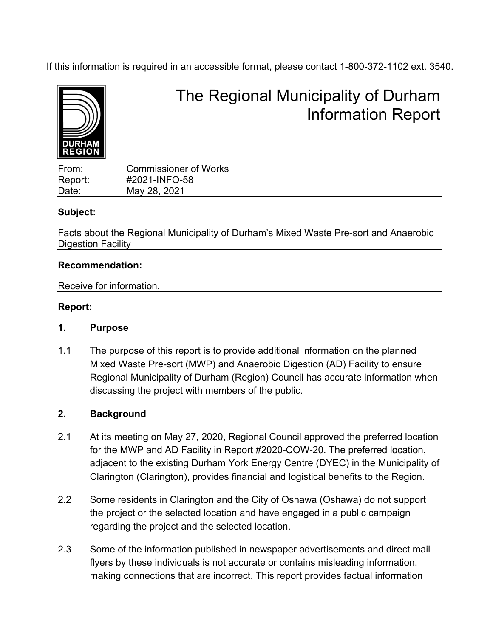If this information is required in an accessible format, please contact 1-800-372-1102 ext. 3540.



# The Regional Municipality of Durham Information Report

| From:   | <b>Commissioner of Works</b> |  |
|---------|------------------------------|--|
| Report: | #2021-INFO-58                |  |
| Date:   | May 28, 2021                 |  |
|         |                              |  |

# **Subject:**

Facts about the Regional Municipality of Durham's Mixed Waste Pre-sort and Anaerobic Digestion Facility

# **Recommendation:**

Receive for information.

# **Report:**

# **1. Purpose**

1.1 The purpose of this report is to provide additional information on the planned Mixed Waste Pre-sort (MWP) and Anaerobic Digestion (AD) Facility to ensure Regional Municipality of Durham (Region) Council has accurate information when discussing the project with members of the public.

# **2. Background**

- 2.1 At its meeting on May 27, 2020, Regional Council approved the preferred location for the MWP and AD Facility in Report #2020-COW-20. The preferred location, adjacent to the existing Durham York Energy Centre (DYEC) in the Municipality of Clarington (Clarington), provides financial and logistical benefits to the Region.
- 2.2 Some residents in Clarington and the City of Oshawa (Oshawa) do not support the project or the selected location and have engaged in a public campaign regarding the project and the selected location.
- 2.3 Some of the information published in newspaper advertisements and direct mail flyers by these individuals is not accurate or contains misleading information, making connections that are incorrect. This report provides factual information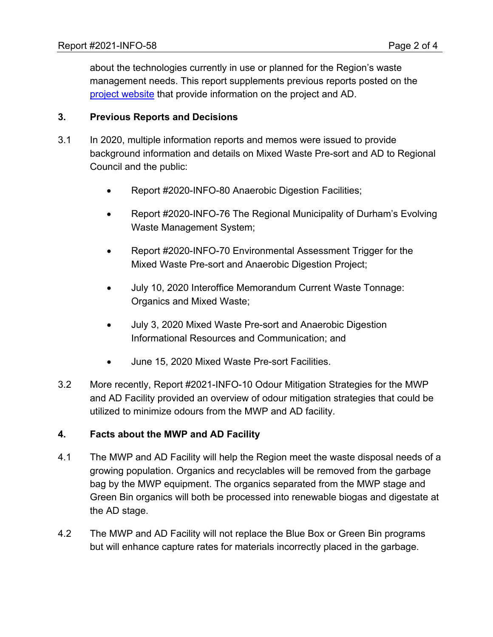about the technologies currently in use or planned for the Region's waste management needs. This report supplements previous reports posted on the [project website](https://www.durham.ca/en/living-here/anaerobic-digestion.aspx#Publicly-Available-Background-Documents) that provide information on the project and AD.

# **3. Previous Reports and Decisions**

- 3.1 In 2020, multiple information reports and memos were issued to provide background information and details on Mixed Waste Pre-sort and AD to Regional Council and the public:
	- Report #2020-INFO-80 Anaerobic Digestion Facilities;
	- Report #2020-INFO-76 The Regional Municipality of Durham's Evolving Waste Management System;
	- Report #2020-INFO-70 Environmental Assessment Trigger for the Mixed Waste Pre-sort and Anaerobic Digestion Project;
	- July 10, 2020 Interoffice Memorandum Current Waste Tonnage: Organics and Mixed Waste;
	- July 3, 2020 Mixed Waste Pre-sort and Anaerobic Digestion Informational Resources and Communication; and
	- June 15, 2020 Mixed Waste Pre-sort Facilities.
- 3.2 More recently, Report #2021-INFO-10 Odour Mitigation Strategies for the MWP and AD Facility provided an overview of odour mitigation strategies that could be utilized to minimize odours from the MWP and AD facility.

# **4. Facts about the MWP and AD Facility**

- 4.1 The MWP and AD Facility will help the Region meet the waste disposal needs of a growing population. Organics and recyclables will be removed from the garbage bag by the MWP equipment. The organics separated from the MWP stage and Green Bin organics will both be processed into renewable biogas and digestate at the AD stage.
- 4.2 The MWP and AD Facility will not replace the Blue Box or Green Bin programs but will enhance capture rates for materials incorrectly placed in the garbage.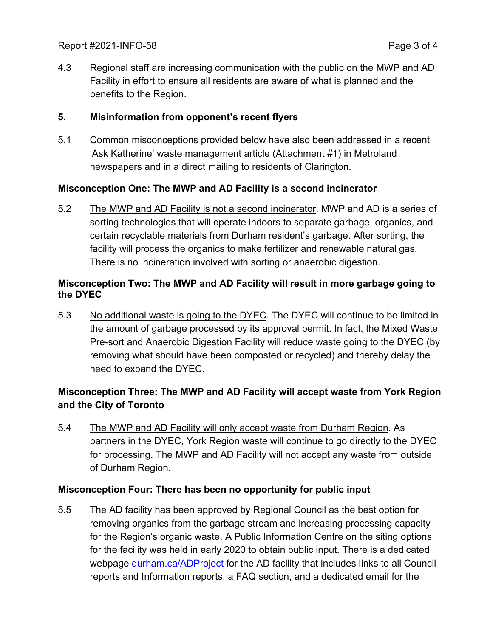4.3 Regional staff are increasing communication with the public on the MWP and AD Facility in effort to ensure all residents are aware of what is planned and the benefits to the Region.

# **5. Misinformation from opponent's recent flyers**

5.1 Common misconceptions provided below have also been addressed in a recent 'Ask Katherine' waste management article (Attachment #1) in Metroland newspapers and in a direct mailing to residents of Clarington.

# **Misconception One: The MWP and AD Facility is a second incinerator**

5.2 The MWP and AD Facility is not a second incinerator. MWP and AD is a series of sorting technologies that will operate indoors to separate garbage, organics, and certain recyclable materials from Durham resident's garbage. After sorting, the facility will process the organics to make fertilizer and renewable natural gas. There is no incineration involved with sorting or anaerobic digestion.

# **Misconception Two: The MWP and AD Facility will result in more garbage going to the DYEC**

5.3 No additional waste is going to the DYEC. The DYEC will continue to be limited in the amount of garbage processed by its approval permit. In fact, the Mixed Waste Pre-sort and Anaerobic Digestion Facility will reduce waste going to the DYEC (by removing what should have been composted or recycled) and thereby delay the need to expand the DYEC.

# **Misconception Three: The MWP and AD Facility will accept waste from York Region and the City of Toronto**

5.4 The MWP and AD Facility will only accept waste from Durham Region. As partners in the DYEC, York Region waste will continue to go directly to the DYEC for processing. The MWP and AD Facility will not accept any waste from outside of Durham Region.

# **Misconception Four: There has been no opportunity for public input**

5.5 The AD facility has been approved by Regional Council as the best option for removing organics from the garbage stream and increasing processing capacity for the Region's organic waste. A Public Information Centre on the siting options for the facility was held in early 2020 to obtain public input. There is a dedicated webpage [durham.ca/ADProject](https://www.durham.ca/en/living-here/anaerobic-digestion.aspx) for the AD facility that includes links to all Council reports and Information reports, a FAQ section, and a dedicated email for the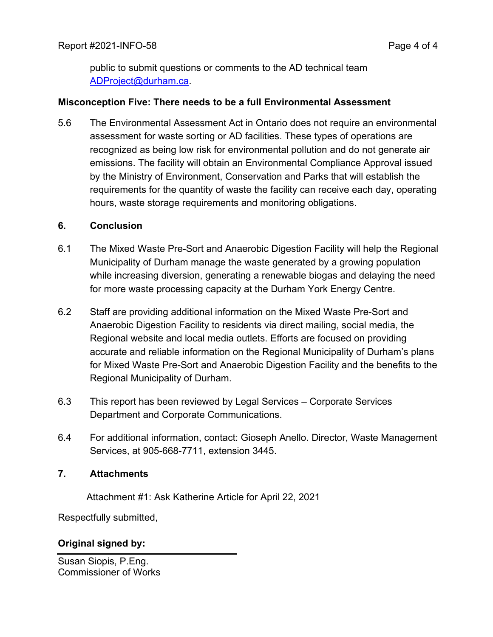public to submit questions or comments to the AD technical team [ADProject@durham.ca.](mailto:ADProject@durham.ca)

#### **Misconception Five: There needs to be a full Environmental Assessment**

5.6 The Environmental Assessment Act in Ontario does not require an environmental assessment for waste sorting or AD facilities. These types of operations are recognized as being low risk for environmental pollution and do not generate air emissions. The facility will obtain an Environmental Compliance Approval issued by the Ministry of Environment, Conservation and Parks that will establish the requirements for the quantity of waste the facility can receive each day, operating hours, waste storage requirements and monitoring obligations.

#### **6. Conclusion**

- 6.1 The Mixed Waste Pre-Sort and Anaerobic Digestion Facility will help the Regional Municipality of Durham manage the waste generated by a growing population while increasing diversion, generating a renewable biogas and delaying the need for more waste processing capacity at the Durham York Energy Centre.
- 6.2 Staff are providing additional information on the Mixed Waste Pre-Sort and Anaerobic Digestion Facility to residents via direct mailing, social media, the Regional website and local media outlets. Efforts are focused on providing accurate and reliable information on the Regional Municipality of Durham's plans for Mixed Waste Pre-Sort and Anaerobic Digestion Facility and the benefits to the Regional Municipality of Durham.
- 6.3 This report has been reviewed by Legal Services Corporate Services Department and Corporate Communications.
- 6.4 For additional information, contact: Gioseph Anello. Director, Waste Management Services, at 905-668-7711, extension 3445.

# **7. Attachments**

Attachment #1: Ask Katherine Article for April 22, 2021

Respectfully submitted,

# **Original signed by:**

Susan Siopis, P.Eng. Commissioner of Works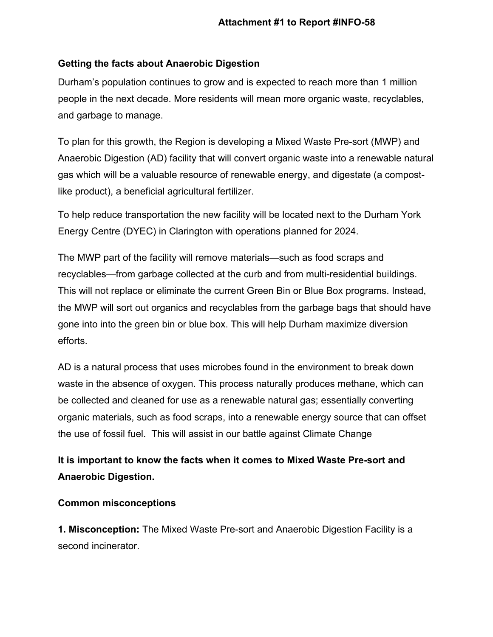# **Getting the facts about Anaerobic Digestion**

Durham's population continues to grow and is expected to reach more than 1 million people in the next decade. More residents will mean more organic waste, recyclables, and garbage to manage.

To plan for this growth, the Region is developing a Mixed Waste Pre-sort (MWP) and Anaerobic Digestion (AD) facility that will convert organic waste into a renewable natural gas which will be a valuable resource of renewable energy, and digestate (a compostlike product), a beneficial agricultural fertilizer.

To help reduce transportation the new facility will be located next to the Durham York Energy Centre (DYEC) in Clarington with operations planned for 2024.

The MWP part of the facility will remove materials—such as food scraps and recyclables—from garbage collected at the curb and from multi-residential buildings. This will not replace or eliminate the current Green Bin or Blue Box programs. Instead, the MWP will sort out organics and recyclables from the garbage bags that should have gone into into the green bin or blue box. This will help Durham maximize diversion efforts.

AD is a natural process that uses microbes found in the environment to break down waste in the absence of oxygen. This process naturally produces methane, which can be collected and cleaned for use as a renewable natural gas; essentially converting organic materials, such as food scraps, into a renewable energy source that can offset the use of fossil fuel. This will assist in our battle against Climate Change

# **It is important to know the facts when it comes to Mixed Waste Pre-sort and Anaerobic Digestion.**

# **Common misconceptions**

**1. Misconception:** The Mixed Waste Pre-sort and Anaerobic Digestion Facility is a second incinerator.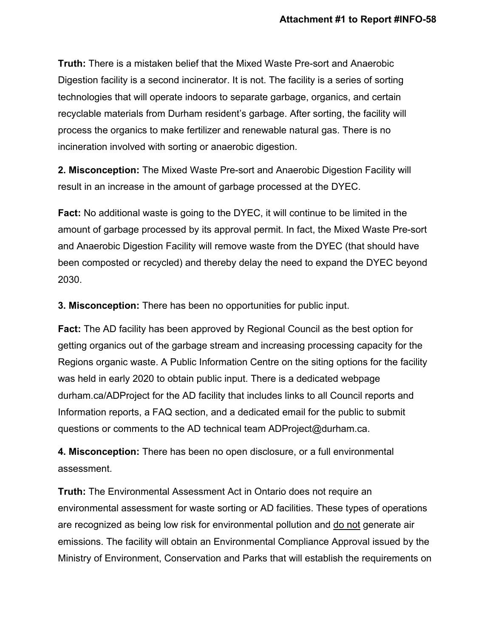**Truth:** There is a mistaken belief that the Mixed Waste Pre-sort and Anaerobic Digestion facility is a second incinerator. It is not. The facility is a series of sorting technologies that will operate indoors to separate garbage, organics, and certain recyclable materials from Durham resident's garbage. After sorting, the facility will process the organics to make fertilizer and renewable natural gas. There is no incineration involved with sorting or anaerobic digestion.

**2. Misconception:** The Mixed Waste Pre-sort and Anaerobic Digestion Facility will result in an increase in the amount of garbage processed at the DYEC.

**Fact:** No additional waste is going to the DYEC, it will continue to be limited in the amount of garbage processed by its approval permit. In fact, the Mixed Waste Pre-sort and Anaerobic Digestion Facility will remove waste from the DYEC (that should have been composted or recycled) and thereby delay the need to expand the DYEC beyond 2030.

**3. Misconception:** There has been no opportunities for public input.

**Fact:** The AD facility has been approved by Regional Council as the best option for getting organics out of the garbage stream and increasing processing capacity for the Regions organic waste. A Public Information Centre on the siting options for the facility was held in early 2020 to obtain public input. There is a dedicated webpage durham.ca/ADProject for the AD facility that includes links to all Council reports and Information reports, a FAQ section, and a dedicated email for the public to submit questions or comments to the AD technical team ADProject@durham.ca.

**4. Misconception:** There has been no open disclosure, or a full environmental assessment.

**Truth:** The Environmental Assessment Act in Ontario does not require an environmental assessment for waste sorting or AD facilities. These types of operations are recognized as being low risk for environmental pollution and do not generate air emissions. The facility will obtain an Environmental Compliance Approval issued by the Ministry of Environment, Conservation and Parks that will establish the requirements on